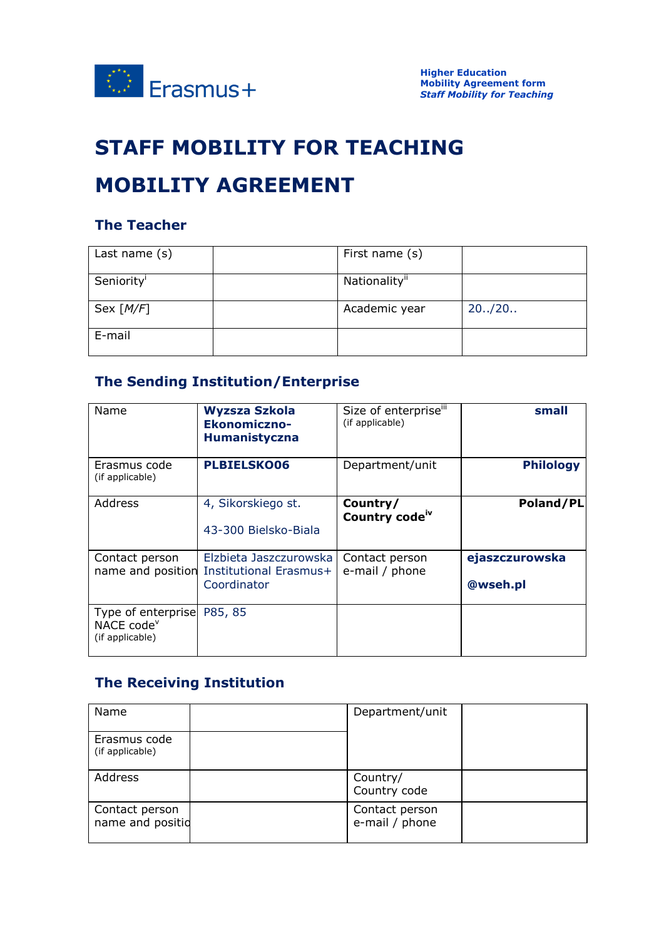

# **STAFF MOBILITY FOR TEACHING**

# **MOBILITY AGREEMENT**

#### **The Teacher**

| Last name $(s)$        | First name (s) |         |
|------------------------|----------------|---------|
| Seniority <sup>1</sup> | Nationality"   |         |
| Sex $[M/F]$            | Academic year  | 20.720. |
| E-mail                 |                |         |

### **The Sending Institution/Enterprise**

| Name                                                            | <b>Wyzsza Szkola</b><br>Ekonomiczno-<br><b>Humanistyczna</b>    | Size of enterpriseiii<br>(if applicable) | small                      |
|-----------------------------------------------------------------|-----------------------------------------------------------------|------------------------------------------|----------------------------|
| Erasmus code<br>(if applicable)                                 | <b>PLBIELSKO06</b>                                              | Department/unit                          | <b>Philology</b>           |
| Address                                                         | 4, Sikorskiego st.<br>43-300 Bielsko-Biala                      | Country/<br>Country code <sup>iv</sup>   | Poland/PL                  |
| Contact person<br>name and position                             | Elzbieta Jaszczurowska<br>Institutional Erasmus+<br>Coordinator | Contact person<br>e-mail / phone         | ejaszczurowska<br>@wseh.pl |
| Type of enterprise<br>NACE code <sup>v</sup><br>(if applicable) | P85, 85                                                         |                                          |                            |

### **The Receiving Institution**

| Name                               | Department/unit                  |  |
|------------------------------------|----------------------------------|--|
| Erasmus code<br>(if applicable)    |                                  |  |
| Address                            | Country/<br>Country code         |  |
| Contact person<br>name and positid | Contact person<br>e-mail / phone |  |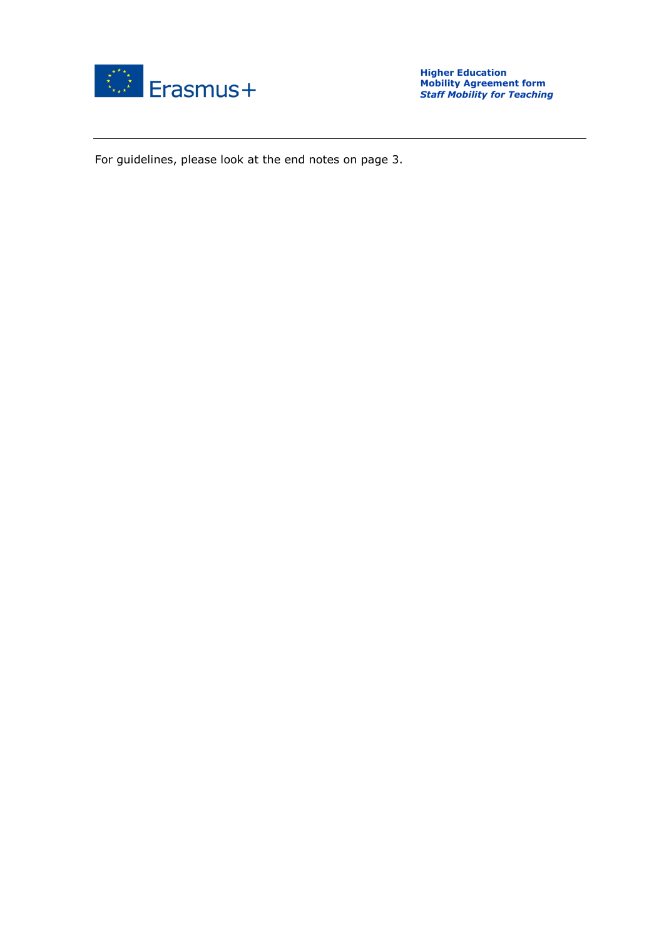

For guidelines, please look at the end notes on page 3.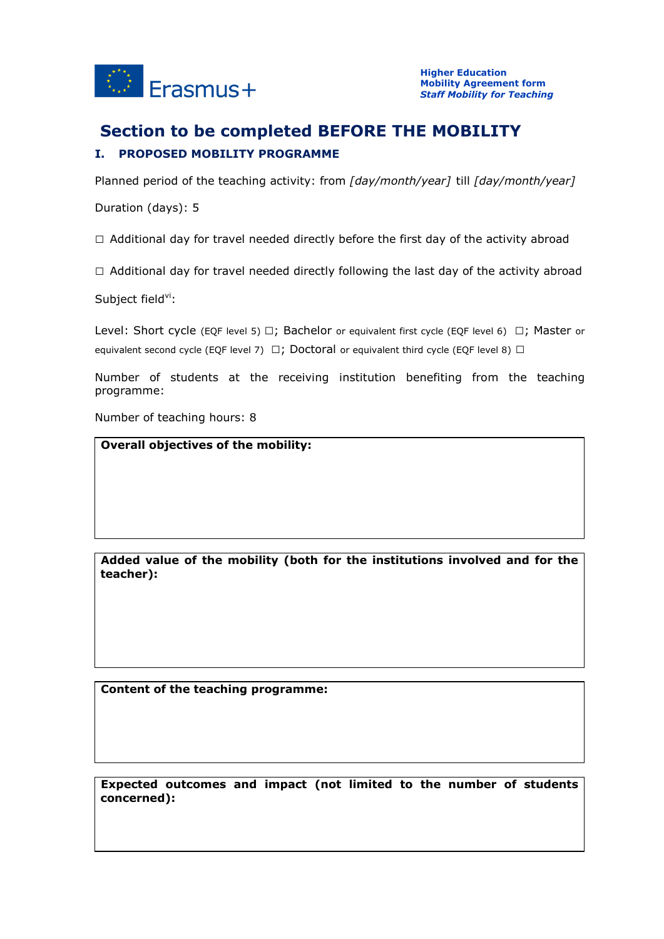

### **Section to be completed BEFORE THE MOBILITY I. PROPOSED MOBILITY PROGRAMME**

Planned period of the teaching activity: from *[day/month/year]* till *[day/month/year]*

Duration (days): 5

 $\Box$  Additional day for travel needed directly before the first day of the activity abroad

 $\Box$  Additional day for travel needed directly following the last day of the activity abroad

Subject field $\mathrm{v}$ :

Level: Short cycle (EQF level 5)  $\Box$ ; Bachelor or equivalent first cycle (EQF level 6)  $\Box$ ; Master or equivalent second cycle (EQF level 7)  $\Box$ ; Doctoral or equivalent third cycle (EQF level 8)  $\Box$ 

Number of students at the receiving institution benefiting from the teaching programme:

Number of teaching hours: 8

**Overall objectives of the mobility:**

**Added value of the mobility (both for the institutions involved and for the teacher):**

**Content of the teaching programme:**

**Expected outcomes and impact (not limited to the number of students concerned):**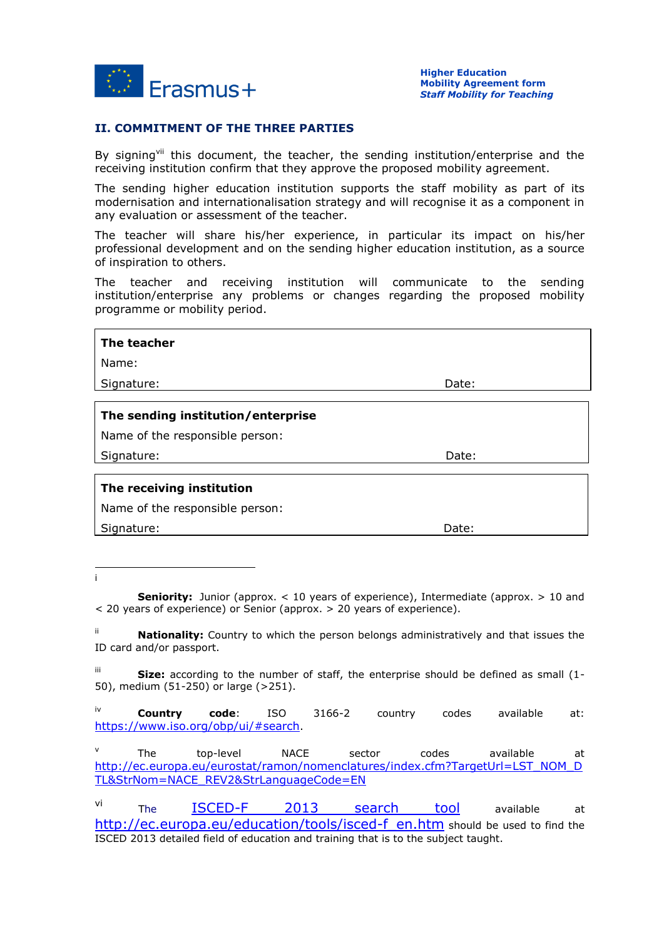

#### **II. COMMITMENT OF THE THREE PARTIES**

By signingvii this document, the teacher, the sending institution/enterprise and the receiving institution confirm that they approve the proposed mobility agreement.

The sending higher education institution supports the staff mobility as part of its modernisation and internationalisation strategy and will recognise it as a component in any evaluation or assessment of the teacher.

The teacher will share his/her experience, in particular its impact on his/her professional development and on the sending higher education institution, as a source of inspiration to others.

The teacher and receiving institution will communicate to the sending institution/enterprise any problems or changes regarding the proposed mobility programme or mobility period.

| The teacher                        |       |  |  |  |
|------------------------------------|-------|--|--|--|
| Name:                              |       |  |  |  |
| Signature:                         | Date: |  |  |  |
| The sending institution/enterprise |       |  |  |  |
| Name of the responsible person:    |       |  |  |  |
| Signature:                         | Date: |  |  |  |
| The receiving institution          |       |  |  |  |
| Name of the responsible person:    |       |  |  |  |
| Signature:                         | Date: |  |  |  |

1 i

> **Seniority:** Junior (approx. < 10 years of experience), Intermediate (approx. > 10 and < 20 years of experience) or Senior (approx. > 20 years of experience).

> ii **Nationality:** Country to which the person belongs administratively and that issues the ID card and/or passport.

> iii **Size:** according to the number of staff, the enterprise should be defined as small (1- 50), medium (51-250) or large (>251).

> iv **Country code**: ISO 3166-2 country codes available at: <https://www.iso.org/obp/ui/#search>.

> v The top-level NACE sector codes available at [http://ec.europa.eu/eurostat/ramon/nomenclatures/index.cfm?TargetUrl=LST\\_NOM\\_D](http://ec.europa.eu/eurostat/ramon/nomenclatures/index.cfm?TargetUrl=LST_NOM_DTL&StrNom=NACE_REV2&StrLanguageCode=EN) [TL&StrNom=NACE\\_REV2&StrLanguageCode=EN](http://ec.europa.eu/eurostat/ramon/nomenclatures/index.cfm?TargetUrl=LST_NOM_DTL&StrNom=NACE_REV2&StrLanguageCode=EN)

> vi The [ISCED-F 2013 search tool](http://ec.europa.eu/education/tools/isced-f_en.htm) available at [http://ec.europa.eu/education/tools/isced-f\\_en.htm](http://ec.europa.eu/education/tools/isced-f_en.htm) should be used to find the ISCED 2013 detailed field of education and training that is to the subject taught.